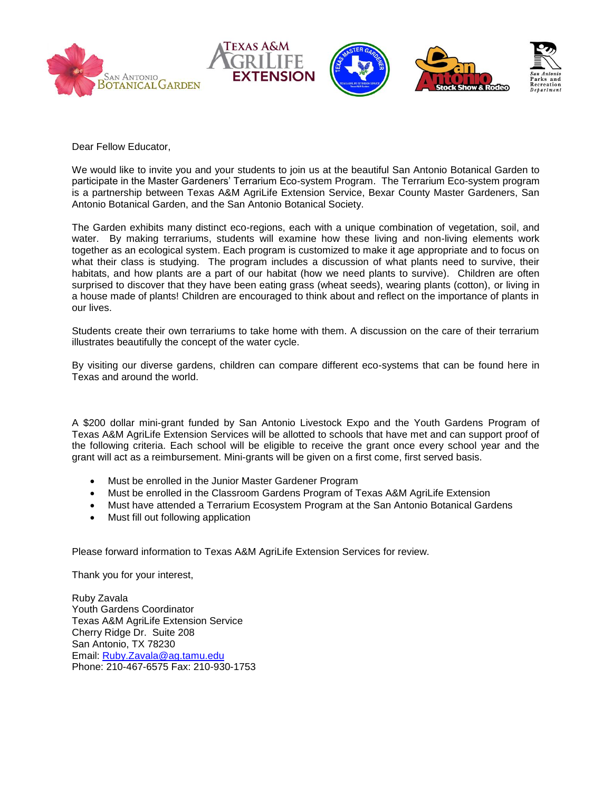



Dear Fellow Educator,

We would like to invite you and your students to join us at the beautiful San Antonio Botanical Garden to participate in the Master Gardeners' Terrarium Eco-system Program. The Terrarium Eco-system program is a partnership between Texas A&M AgriLife Extension Service, Bexar County Master Gardeners, San Antonio Botanical Garden, and the San Antonio Botanical Society.

The Garden exhibits many distinct eco-regions, each with a unique combination of vegetation, soil, and water. By making terrariums, students will examine how these living and non-living elements work together as an ecological system. Each program is customized to make it age appropriate and to focus on what their class is studying. The program includes a discussion of what plants need to survive, their habitats, and how plants are a part of our habitat (how we need plants to survive). Children are often surprised to discover that they have been eating grass (wheat seeds), wearing plants (cotton), or living in a house made of plants! Children are encouraged to think about and reflect on the importance of plants in our lives.

Students create their own terrariums to take home with them. A discussion on the care of their terrarium illustrates beautifully the concept of the water cycle.

By visiting our diverse gardens, children can compare different eco-systems that can be found here in Texas and around the world.

A \$200 dollar mini-grant funded by San Antonio Livestock Expo and the Youth Gardens Program of Texas A&M AgriLife Extension Services will be allotted to schools that have met and can support proof of the following criteria. Each school will be eligible to receive the grant once every school year and the grant will act as a reimbursement. Mini-grants will be given on a first come, first served basis.

- Must be enrolled in the Junior Master Gardener Program
- Must be enrolled in the Classroom Gardens Program of Texas A&M AgriLife Extension
- Must have attended a Terrarium Ecosystem Program at the San Antonio Botanical Gardens
- Must fill out following application

Please forward information to Texas A&M AgriLife Extension Services for review.

Thank you for your interest,

Ruby Zavala Youth Gardens Coordinator Texas A&M AgriLife Extension Service Cherry Ridge Dr. Suite 208 San Antonio, TX 78230 Email: [Ruby.Zavala@ag.tamu.edu](mailto:Ruby.Zavala@ag.tamu.edu)  Phone: 210-467-6575 Fax: 210-930-1753